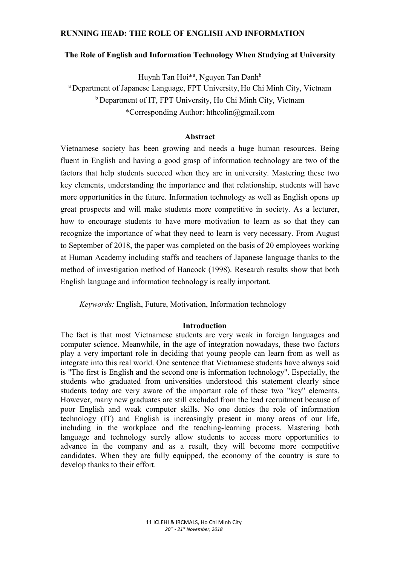# RUNNING HEAD: THE ROLE OF ENGLISH AND INFORMATION

### The Role of English and Information Technology When Studying at University

Huynh Tan Hoi<sup>\*a</sup>, Nguyen Tan Danh<sup>b</sup>

<sup>a</sup> Department of Japanese Language, FPT University, Ho Chi Minh City, Vietnam <sup>b</sup> Department of IT, FPT University, Ho Chi Minh City, Vietnam \*Corresponding Author: hthcolin@gmail.com

### Abstract

Vietnamese society has been growing and needs a huge human resources. Being fluent in English and having a good grasp of information technology are two of the factors that help students succeed when they are in university. Mastering these two key elements, understanding the importance and that relationship, students will have more opportunities in the future. Information technology as well as English opens up great prospects and will make students more competitive in society. As a lecturer, how to encourage students to have more motivation to learn as so that they can recognize the importance of what they need to learn is very necessary. From August to September of 2018, the paper was completed on the basis of 20 employees working at Human Academy including staffs and teachers of Japanese language thanks to the method of investigation method of Hancock (1998). Research results show that both English language and information technology is really important.

Keywords: English, Future, Motivation, Information technology

### Introduction

The fact is that most Vietnamese students are very weak in foreign languages and computer science. Meanwhile, in the age of integration nowadays, these two factors play a very important role in deciding that young people can learn from as well as integrate into this real world. One sentence that Vietnamese students have always said is "The first is English and the second one is information technology". Especially, the students who graduated from universities understood this statement clearly since students today are very aware of the important role of these two "key" elements. However, many new graduates are still excluded from the lead recruitment because of poor English and weak computer skills. No one denies the role of information technology (IT) and English is increasingly present in many areas of our life, including in the workplace and the teaching-learning process. Mastering both language and technology surely allow students to access more opportunities to advance in the company and as a result, they will become more competitive candidates. When they are fully equipped, the economy of the country is sure to develop thanks to their effort.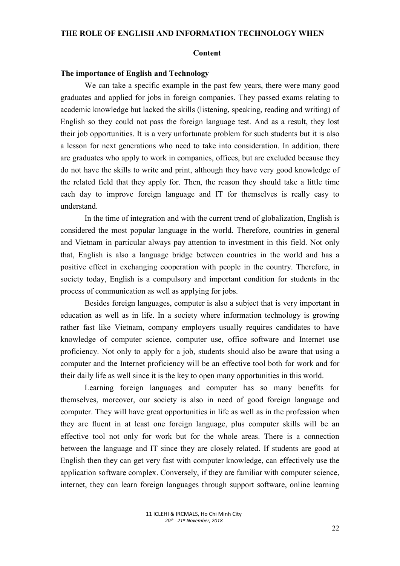#### Content

### The importance of English and Technology

We can take a specific example in the past few years, there were many good graduates and applied for jobs in foreign companies. They passed exams relating to academic knowledge but lacked the skills (listening, speaking, reading and writing) of English so they could not pass the foreign language test. And as a result, they lost their job opportunities. It is a very unfortunate problem for such students but it is also a lesson for next generations who need to take into consideration. In addition, there are graduates who apply to work in companies, offices, but are excluded because they do not have the skills to write and print, although they have very good knowledge of the related field that they apply for. Then, the reason they should take a little time each day to improve foreign language and IT for themselves is really easy to understand.

In the time of integration and with the current trend of globalization, English is considered the most popular language in the world. Therefore, countries in general and Vietnam in particular always pay attention to investment in this field. Not only that, English is also a language bridge between countries in the world and has a positive effect in exchanging cooperation with people in the country. Therefore, in society today, English is a compulsory and important condition for students in the process of communication as well as applying for jobs.

Besides foreign languages, computer is also a subject that is very important in education as well as in life. In a society where information technology is growing rather fast like Vietnam, company employers usually requires candidates to have knowledge of computer science, computer use, office software and Internet use proficiency. Not only to apply for a job, students should also be aware that using a computer and the Internet proficiency will be an effective tool both for work and for their daily life as well since it is the key to open many opportunities in this world.

Learning foreign languages and computer has so many benefits for themselves, moreover, our society is also in need of good foreign language and computer. They will have great opportunities in life as well as in the profession when they are fluent in at least one foreign language, plus computer skills will be an effective tool not only for work but for the whole areas. There is a connection between the language and IT since they are closely related. If students are good at English then they can get very fast with computer knowledge, can effectively use the application software complex. Conversely, if they are familiar with computer science, internet, they can learn foreign languages through support software, online learning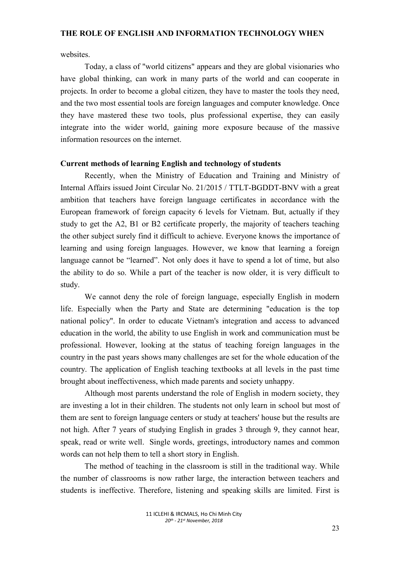websites.

Today, a class of "world citizens" appears and they are global visionaries who have global thinking, can work in many parts of the world and can cooperate in projects. In order to become a global citizen, they have to master the tools they need, and the two most essential tools are foreign languages and computer knowledge. Once they have mastered these two tools, plus professional expertise, they can easily integrate into the wider world, gaining more exposure because of the massive information resources on the internet.

### Current methods of learning English and technology of students

Recently, when the Ministry of Education and Training and Ministry of Internal Affairs issued Joint Circular No. 21/2015 / TTLT-BGDDT-BNV with a great ambition that teachers have foreign language certificates in accordance with the European framework of foreign capacity 6 levels for Vietnam. But, actually if they study to get the A2, B1 or B2 certificate properly, the majority of teachers teaching the other subject surely find it difficult to achieve. Everyone knows the importance of learning and using foreign languages. However, we know that learning a foreign language cannot be "learned". Not only does it have to spend a lot of time, but also the ability to do so. While a part of the teacher is now older, it is very difficult to study.

We cannot deny the role of foreign language, especially English in modern life. Especially when the Party and State are determining "education is the top national policy". In order to educate Vietnam's integration and access to advanced education in the world, the ability to use English in work and communication must be professional. However, looking at the status of teaching foreign languages in the country in the past years shows many challenges are set for the whole education of the country. The application of English teaching textbooks at all levels in the past time brought about ineffectiveness, which made parents and society unhappy.

Although most parents understand the role of English in modern society, they are investing a lot in their children. The students not only learn in school but most of them are sent to foreign language centers or study at teachers' house but the results are not high. After 7 years of studying English in grades 3 through 9, they cannot hear, speak, read or write well. Single words, greetings, introductory names and common words can not help them to tell a short story in English.

The method of teaching in the classroom is still in the traditional way. While the number of classrooms is now rather large, the interaction between teachers and students is ineffective. Therefore, listening and speaking skills are limited. First is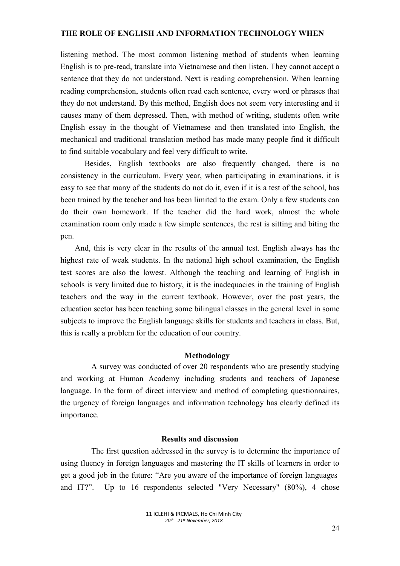listening method. The most common listening method of students when learning English is to pre-read, translate into Vietnamese and then listen. They cannot accept a sentence that they do not understand. Next is reading comprehension. When learning reading comprehension, students often read each sentence, every word or phrases that they do not understand. By this method, English does not seem very interesting and it causes many of them depressed. Then, with method of writing, students often write English essay in the thought of Vietnamese and then translated into English, the mechanical and traditional translation method has made many people find it difficult to find suitable vocabulary and feel very difficult to write.

Besides, English textbooks are also frequently changed, there is no consistency in the curriculum. Every year, when participating in examinations, it is easy to see that many of the students do not do it, even if it is a test of the school, has been trained by the teacher and has been limited to the exam. Only a few students can do their own homework. If the teacher did the hard work, almost the whole examination room only made a few simple sentences, the rest is sitting and biting the pen.

And, this is very clear in the results of the annual test. English always has the highest rate of weak students. In the national high school examination, the English test scores are also the lowest. Although the teaching and learning of English in schools is very limited due to history, it is the inadequacies in the training of English teachers and the way in the current textbook. However, over the past years, the education sector has been teaching some bilingual classes in the general level in some subjects to improve the English language skills for students and teachers in class. But, this is really a problem for the education of our country.

#### Methodology

 A survey was conducted of over 20 respondents who are presently studying and working at Human Academy including students and teachers of Japanese language. In the form of direct interview and method of completing questionnaires, the urgency of foreign languages and information technology has clearly defined its importance.

# Results and discussion

 The first question addressed in the survey is to determine the importance of using fluency in foreign languages and mastering the IT skills of learners in order to get a good job in the future: "Are you aware of the importance of foreign languages and IT?". Up to 16 respondents selected "Very Necessary" (80%), 4 chose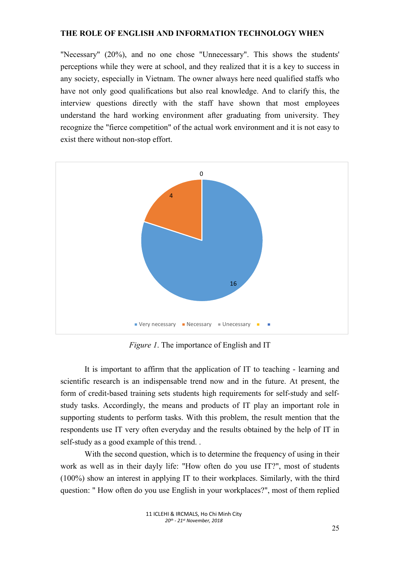"Necessary" (20%), and no one chose "Unnecessary". This shows the students' perceptions while they were at school, and they realized that it is a key to success in any society, especially in Vietnam. The owner always here need qualified staffs who have not only good qualifications but also real knowledge. And to clarify this, the interview questions directly with the staff have shown that most employees understand the hard working environment after graduating from university. They recognize the "fierce competition" of the actual work environment and it is not easy to exist there without non-stop effort.



Figure 1. The importance of English and IT

It is important to affirm that the application of IT to teaching - learning and scientific research is an indispensable trend now and in the future. At present, the form of credit-based training sets students high requirements for self-study and selfstudy tasks. Accordingly, the means and products of IT play an important role in supporting students to perform tasks. With this problem, the result mention that the respondents use IT very often everyday and the results obtained by the help of IT in self-study as a good example of this trend. .

With the second question, which is to determine the frequency of using in their work as well as in their dayly life: "How often do you use IT?", most of students (100%) show an interest in applying IT to their workplaces. Similarly, with the third question: " How often do you use English in your workplaces?", most of them replied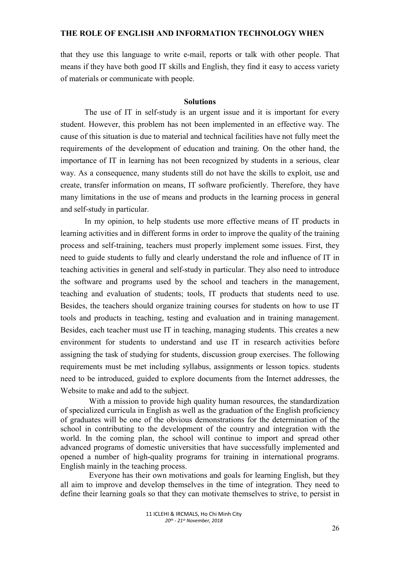that they use this language to write e-mail, reports or talk with other people. That means if they have both good IT skills and English, they find it easy to access variety of materials or communicate with people.

### Solutions

The use of IT in self-study is an urgent issue and it is important for every student. However, this problem has not been implemented in an effective way. The cause of this situation is due to material and technical facilities have not fully meet the requirements of the development of education and training. On the other hand, the importance of IT in learning has not been recognized by students in a serious, clear way. As a consequence, many students still do not have the skills to exploit, use and create, transfer information on means, IT software proficiently. Therefore, they have many limitations in the use of means and products in the learning process in general and self-study in particular.

In my opinion, to help students use more effective means of IT products in learning activities and in different forms in order to improve the quality of the training process and self-training, teachers must properly implement some issues. First, they need to guide students to fully and clearly understand the role and influence of IT in teaching activities in general and self-study in particular. They also need to introduce the software and programs used by the school and teachers in the management, teaching and evaluation of students; tools, IT products that students need to use. Besides, the teachers should organize training courses for students on how to use IT tools and products in teaching, testing and evaluation and in training management. Besides, each teacher must use IT in teaching, managing students. This creates a new environment for students to understand and use IT in research activities before assigning the task of studying for students, discussion group exercises. The following requirements must be met including syllabus, assignments or lesson topics. students need to be introduced, guided to explore documents from the Internet addresses, the Website to make and add to the subject.

 With a mission to provide high quality human resources, the standardization of specialized curricula in English as well as the graduation of the English proficiency of graduates will be one of the obvious demonstrations for the determination of the school in contributing to the development of the country and integration with the world. In the coming plan, the school will continue to import and spread other advanced programs of domestic universities that have successfully implemented and opened a number of high-quality programs for training in international programs. English mainly in the teaching process.

 Everyone has their own motivations and goals for learning English, but they all aim to improve and develop themselves in the time of integration. They need to define their learning goals so that they can motivate themselves to strive, to persist in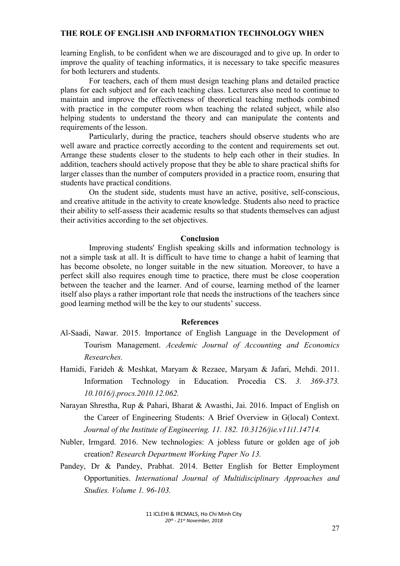learning English, to be confident when we are discouraged and to give up. In order to improve the quality of teaching informatics, it is necessary to take specific measures for both lecturers and students.

 For teachers, each of them must design teaching plans and detailed practice plans for each subject and for each teaching class. Lecturers also need to continue to maintain and improve the effectiveness of theoretical teaching methods combined with practice in the computer room when teaching the related subject, while also helping students to understand the theory and can manipulate the contents and requirements of the lesson.

 Particularly, during the practice, teachers should observe students who are well aware and practice correctly according to the content and requirements set out. Arrange these students closer to the students to help each other in their studies. In addition, teachers should actively propose that they be able to share practical shifts for larger classes than the number of computers provided in a practice room, ensuring that students have practical conditions.

 On the student side, students must have an active, positive, self-conscious, and creative attitude in the activity to create knowledge. Students also need to practice their ability to self-assess their academic results so that students themselves can adjust their activities according to the set objectives.

## Conclusion

 Improving students' English speaking skills and information technology is not a simple task at all. It is difficult to have time to change a habit of learning that has become obsolete, no longer suitable in the new situation. Moreover, to have a perfect skill also requires enough time to practice, there must be close cooperation between the teacher and the learner. And of course, learning method of the learner itself also plays a rather important role that needs the instructions of the teachers since good learning method will be the key to our students' success.

#### References

- Al-Saadi, Nawar. 2015. Importance of English Language in the Development of Tourism Management. Acedemic Journal of Accounting and Economics Researches.
- Hamidi, Farideh & Meshkat, Maryam & Rezaee, Maryam & Jafari, Mehdi. 2011. Information Technology in Education. Procedia CS. 3. 369-373. 10.1016/j.procs.2010.12.062.
- Narayan Shrestha, Rup & Pahari, Bharat & Awasthi, Jai. 2016. Impact of English on the Career of Engineering Students: A Brief Overview in G(local) Context. Journal of the Institute of Engineering. 11. 182. 10.3126/jie.v11i1.14714.
- Nubler, Irmgard. 2016. New technologies: A jobless future or golden age of job creation? Research Department Working Paper No 13.
- Pandey, Dr & Pandey, Prabhat. 2014. Better English for Better Employment Opportunities. International Journal of Multidisciplinary Approaches and Studies. Volume 1. 96-103.